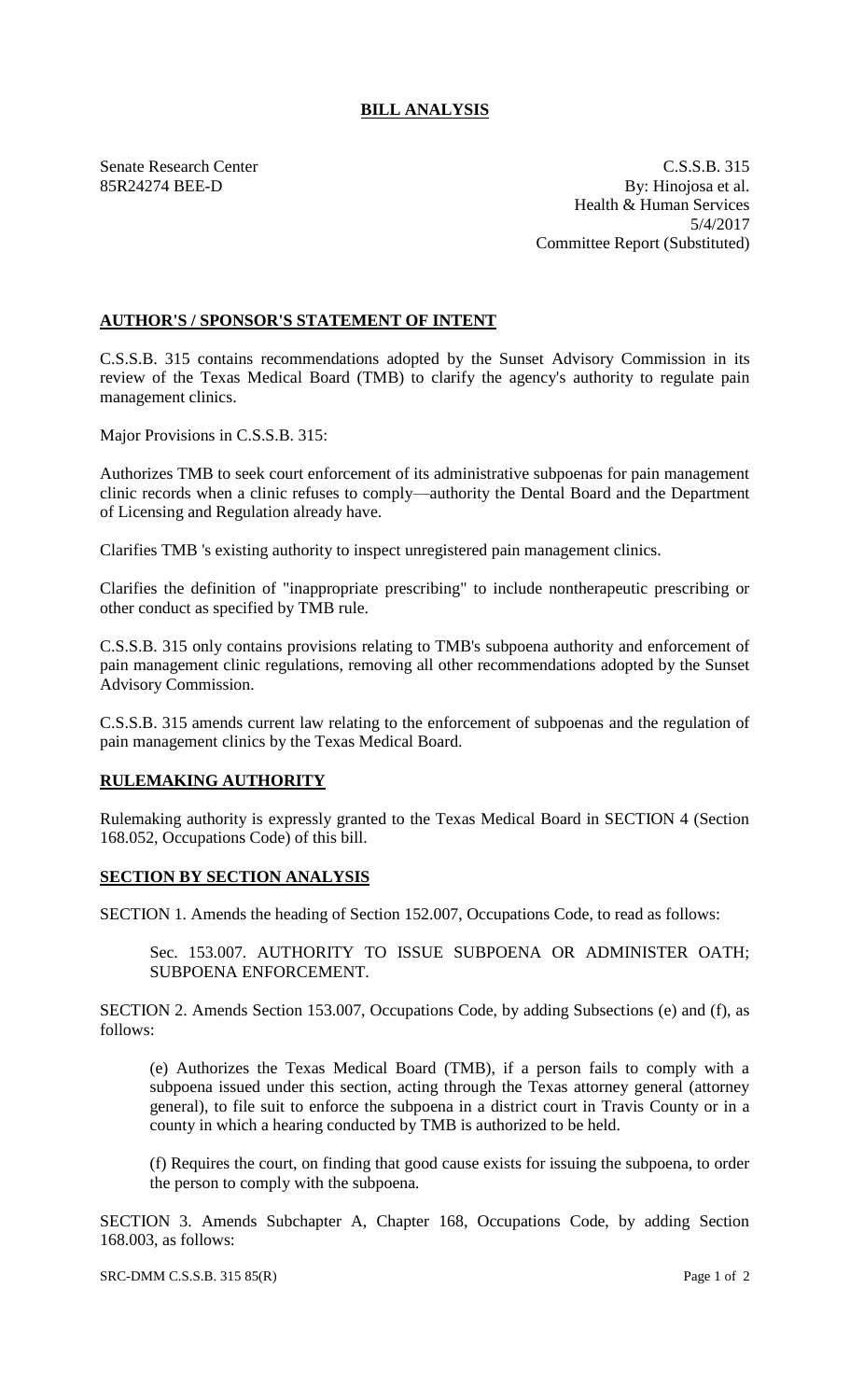## **BILL ANALYSIS**

Senate Research Center C.S.S.B. 315 85R24274 BEE-D By: Hinojosa et al. Health & Human Services 5/4/2017 Committee Report (Substituted)

## **AUTHOR'S / SPONSOR'S STATEMENT OF INTENT**

C.S.S.B. 315 contains recommendations adopted by the Sunset Advisory Commission in its review of the Texas Medical Board (TMB) to clarify the agency's authority to regulate pain management clinics.

Major Provisions in C.S.S.B. 315:

Authorizes TMB to seek court enforcement of its administrative subpoenas for pain management clinic records when a clinic refuses to comply—authority the Dental Board and the Department of Licensing and Regulation already have.

Clarifies TMB 's existing authority to inspect unregistered pain management clinics.

Clarifies the definition of "inappropriate prescribing" to include nontherapeutic prescribing or other conduct as specified by TMB rule.

C.S.S.B. 315 only contains provisions relating to TMB's subpoena authority and enforcement of pain management clinic regulations, removing all other recommendations adopted by the Sunset Advisory Commission.

C.S.S.B. 315 amends current law relating to the enforcement of subpoenas and the regulation of pain management clinics by the Texas Medical Board.

## **RULEMAKING AUTHORITY**

Rulemaking authority is expressly granted to the Texas Medical Board in SECTION 4 (Section 168.052, Occupations Code) of this bill.

## **SECTION BY SECTION ANALYSIS**

SECTION 1. Amends the heading of Section 152.007, Occupations Code, to read as follows:

Sec. 153.007. AUTHORITY TO ISSUE SUBPOENA OR ADMINISTER OATH; SUBPOENA ENFORCEMENT.

SECTION 2. Amends Section 153.007, Occupations Code, by adding Subsections (e) and (f), as follows:

(e) Authorizes the Texas Medical Board (TMB), if a person fails to comply with a subpoena issued under this section, acting through the Texas attorney general (attorney general), to file suit to enforce the subpoena in a district court in Travis County or in a county in which a hearing conducted by TMB is authorized to be held.

(f) Requires the court, on finding that good cause exists for issuing the subpoena, to order the person to comply with the subpoena.

SECTION 3. Amends Subchapter A, Chapter 168, Occupations Code, by adding Section 168.003, as follows: